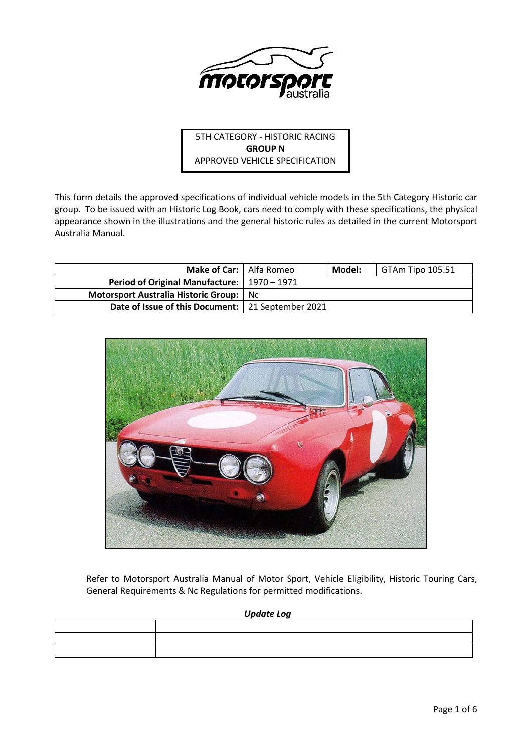

5TH CATEGORY - HISTORIC RACING **GROUP N** APPROVED VEHICLE SPECIFICATION

This form details the approved specifications of individual vehicle models in the 5th Category Historic car group. To be issued with an Historic Log Book, cars need to comply with these specifications, the physical appearance shown in the illustrations and the general historic rules as detailed in the current Motorsport Australia Manual.

| <b>Make of Car:</b>   Alfa Romeo                    | Model: | GTAm Tipo 105.51 |
|-----------------------------------------------------|--------|------------------|
| Period of Original Manufacture:   1970 - 1971       |        |                  |
| Motorsport Australia Historic Group: No             |        |                  |
| Date of Issue of this Document:   21 September 2021 |        |                  |



Refer to Motorsport Australia Manual of Motor Sport, Vehicle Eligibility, Historic Touring Cars, General Requirements & Nc Regulations for permitted modifications.

*Update Log*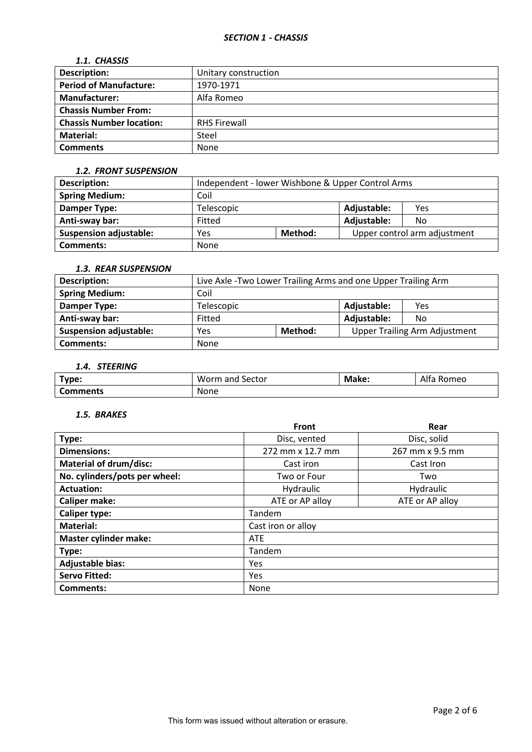## *1.1. CHASSIS*

| <b>Description:</b>             | Unitary construction |
|---------------------------------|----------------------|
| <b>Period of Manufacture:</b>   | 1970-1971            |
| <b>Manufacturer:</b>            | Alfa Romeo           |
| <b>Chassis Number From:</b>     |                      |
| <b>Chassis Number location:</b> | <b>RHS Firewall</b>  |
| Material:                       | Steel                |
| <b>Comments</b>                 | None                 |

#### *1.2. FRONT SUSPENSION*

| <b>Description:</b>           | Independent - lower Wishbone & Upper Control Arms |  |             |                              |
|-------------------------------|---------------------------------------------------|--|-------------|------------------------------|
| <b>Spring Medium:</b>         | Coil                                              |  |             |                              |
| <b>Damper Type:</b>           | Telescopic                                        |  |             | Yes                          |
| Anti-sway bar:                | Fitted                                            |  | Adjustable: | No                           |
| <b>Suspension adjustable:</b> | Method:<br>Yes                                    |  |             | Upper control arm adjustment |
| <b>Comments:</b>              | None                                              |  |             |                              |

# *1.3. REAR SUSPENSION*

| <b>Description:</b>           | Live Axle - Two Lower Trailing Arms and one Upper Trailing Arm |         |             |                                      |
|-------------------------------|----------------------------------------------------------------|---------|-------------|--------------------------------------|
| <b>Spring Medium:</b>         | Coil                                                           |         |             |                                      |
| Damper Type:                  | Telescopic                                                     |         | Adjustable: | Yes                                  |
| Anti-sway bar:                | Fitted                                                         |         | Adjustable: | No.                                  |
| <b>Suspension adjustable:</b> | Yes                                                            | Method: |             | <b>Upper Trailing Arm Adjustment</b> |
| <b>Comments:</b>              | None                                                           |         |             |                                      |

# *1.4. STEERING*

| Type:    | Worm<br>. Sector<br>and | Make: | Alfa<br>Romeo |
|----------|-------------------------|-------|---------------|
| Comments | None                    |       |               |

## *1.5. BRAKES*

|                               | Front              | Rear            |  |  |
|-------------------------------|--------------------|-----------------|--|--|
| Type:                         | Disc, vented       | Disc, solid     |  |  |
| <b>Dimensions:</b>            | 272 mm x 12.7 mm   | 267 mm x 9.5 mm |  |  |
| <b>Material of drum/disc:</b> | Cast iron          | Cast Iron       |  |  |
| No. cylinders/pots per wheel: | Two or Four        | Two             |  |  |
| <b>Actuation:</b>             | Hydraulic          | Hydraulic       |  |  |
| <b>Caliper make:</b>          | ATE or AP alloy    | ATE or AP alloy |  |  |
| <b>Caliper type:</b>          | Tandem             |                 |  |  |
| <b>Material:</b>              | Cast iron or alloy |                 |  |  |
| <b>Master cylinder make:</b>  | <b>ATE</b>         |                 |  |  |
| Type:                         | Tandem             |                 |  |  |
| <b>Adjustable bias:</b>       | Yes                |                 |  |  |
| <b>Servo Fitted:</b>          | Yes                |                 |  |  |
| <b>Comments:</b>              | None               |                 |  |  |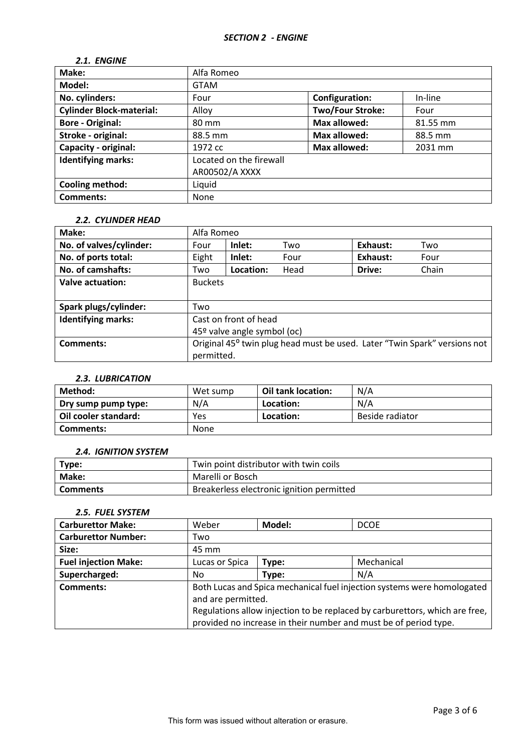# *2.1. ENGINE*

| Make:                           | Alfa Romeo              |                         |          |  |
|---------------------------------|-------------------------|-------------------------|----------|--|
| Model:                          | <b>GTAM</b>             |                         |          |  |
| No. cylinders:                  | Four                    | Configuration:          | In-line  |  |
| <b>Cylinder Block-material:</b> | Alloy                   | <b>Two/Four Stroke:</b> | Four     |  |
| <b>Bore - Original:</b>         | 80 mm                   | <b>Max allowed:</b>     | 81.55 mm |  |
| Stroke - original:              | 88.5 mm                 | <b>Max allowed:</b>     | 88.5 mm  |  |
| Capacity - original:            | 1972 cc                 | Max allowed:            | 2031 mm  |  |
| <b>Identifying marks:</b>       | Located on the firewall |                         |          |  |
|                                 | AR00502/A XXXX          |                         |          |  |
| Cooling method:                 | Liquid                  |                         |          |  |
| <b>Comments:</b>                | None                    |                         |          |  |

# *2.2. CYLINDER HEAD*

| Make:                     | Alfa Romeo                                                                |           |      |          |       |
|---------------------------|---------------------------------------------------------------------------|-----------|------|----------|-------|
| No. of valves/cylinder:   | Four                                                                      | Inlet:    | Two  | Exhaust: | Two   |
| No. of ports total:       | Eight                                                                     | Inlet:    | Four | Exhaust: | Four  |
| No. of camshafts:         | Two                                                                       | Location: | Head | Drive:   | Chain |
| Valve actuation:          | <b>Buckets</b>                                                            |           |      |          |       |
|                           |                                                                           |           |      |          |       |
| Spark plugs/cylinder:     | Two                                                                       |           |      |          |       |
| <b>Identifying marks:</b> | Cast on front of head                                                     |           |      |          |       |
|                           | 45º valve angle symbol (oc)                                               |           |      |          |       |
| <b>Comments:</b>          | Original 45° twin plug head must be used. Later "Twin Spark" versions not |           |      |          |       |
|                           | permitted.                                                                |           |      |          |       |

## *2.3. LUBRICATION*

| Method:              | Wet sump | Oil tank location: | N/A             |
|----------------------|----------|--------------------|-----------------|
| Dry sump pump type:  | N/A      | Location:          | N/A             |
| Oil cooler standard: | Yes      | Location:          | Beside radiator |
| Comments:            | None     |                    |                 |

### *2.4. IGNITION SYSTEM*

| Type:           | Twin point distributor with twin coils    |
|-----------------|-------------------------------------------|
| <b>Make:</b>    | Marelli or Bosch                          |
| <b>Comments</b> | Breakerless electronic ignition permitted |

## *2.5. FUEL SYSTEM*

| <b>Carburettor Make:</b>    | Weber                                                                       | Model: | <b>DCOE</b>                                                      |
|-----------------------------|-----------------------------------------------------------------------------|--------|------------------------------------------------------------------|
| <b>Carburettor Number:</b>  | Two                                                                         |        |                                                                  |
| Size:                       | 45 mm                                                                       |        |                                                                  |
| <b>Fuel injection Make:</b> | Lucas or Spica                                                              | Type:  | Mechanical                                                       |
| Supercharged:               | No                                                                          | Type:  | N/A                                                              |
| Comments:                   | Both Lucas and Spica mechanical fuel injection systems were homologated     |        |                                                                  |
|                             | and are permitted.                                                          |        |                                                                  |
|                             | Regulations allow injection to be replaced by carburettors, which are free, |        |                                                                  |
|                             |                                                                             |        | provided no increase in their number and must be of period type. |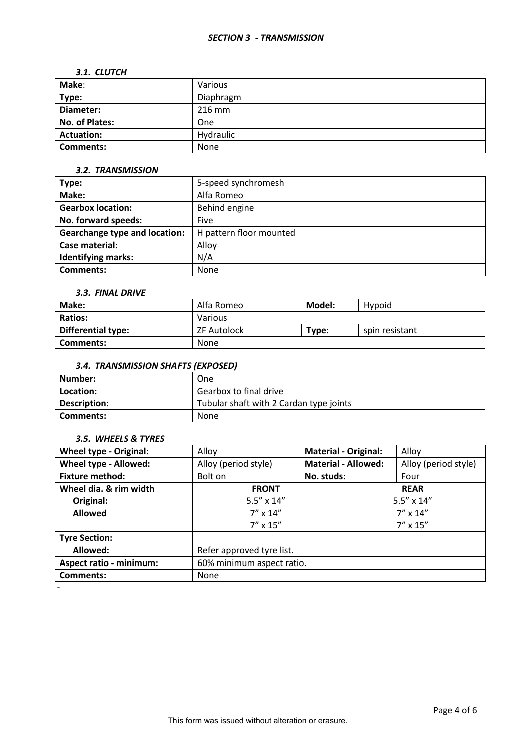#### *SECTION 3 - TRANSMISSION*

#### *3.1. CLUTCH*

| Make:             | Various   |
|-------------------|-----------|
| Type:             | Diaphragm |
| Diameter:         | $216$ mm  |
| No. of Plates:    | One       |
| <b>Actuation:</b> | Hydraulic |
| <b>Comments:</b>  | None      |

## *3.2. TRANSMISSION*

| Type:                                | 5-speed synchromesh     |
|--------------------------------------|-------------------------|
| Make:                                | Alfa Romeo              |
| <b>Gearbox location:</b>             | Behind engine           |
| No. forward speeds:                  | Five                    |
| <b>Gearchange type and location:</b> | H pattern floor mounted |
| Case material:                       | Alloy                   |
| <b>Identifying marks:</b>            | N/A                     |
| <b>Comments:</b>                     | <b>None</b>             |

## *3.3. FINAL DRIVE*

| Make:                     | Model:<br>Alfa Romeo<br>Hypoid |       |                |
|---------------------------|--------------------------------|-------|----------------|
| <b>Ratios:</b>            | Various                        |       |                |
| <b>Differential type:</b> | <b>ZF Autolock</b>             | Type: | spin resistant |
| Comments:                 | None                           |       |                |

## *3.4. TRANSMISSION SHAFTS (EXPOSED)*

| Number:      | One                                     |
|--------------|-----------------------------------------|
| Location:    | Gearbox to final drive                  |
| Description: | Tubular shaft with 2 Cardan type joints |
| l Comments:  | None                                    |

## *3.5. WHEELS & TYRES*

-

| <b>Wheel type - Original:</b>  | Alloy                                      |            | <b>Material - Original:</b> | Alloy                |
|--------------------------------|--------------------------------------------|------------|-----------------------------|----------------------|
| Wheel type - Allowed:          | Alloy (period style)                       |            | <b>Material - Allowed:</b>  | Alloy (period style) |
| <b>Fixture method:</b>         | Bolt on                                    | No. studs: |                             | Four                 |
| Wheel dia. & rim width         | <b>FRONT</b>                               |            |                             | <b>REAR</b>          |
| Original:                      | $5.5'' \times 14''$<br>$5.5'' \times 14''$ |            |                             |                      |
| <b>Allowed</b>                 | $7''$ x 14"                                |            |                             | $7'' \times 14''$    |
|                                | $7'' \times 15''$                          |            |                             | $7'' \times 15''$    |
| <b>Tyre Section:</b>           |                                            |            |                             |                      |
| Allowed:                       | Refer approved tyre list.                  |            |                             |                      |
| <b>Aspect ratio - minimum:</b> | 60% minimum aspect ratio.                  |            |                             |                      |
| <b>Comments:</b>               | <b>None</b>                                |            |                             |                      |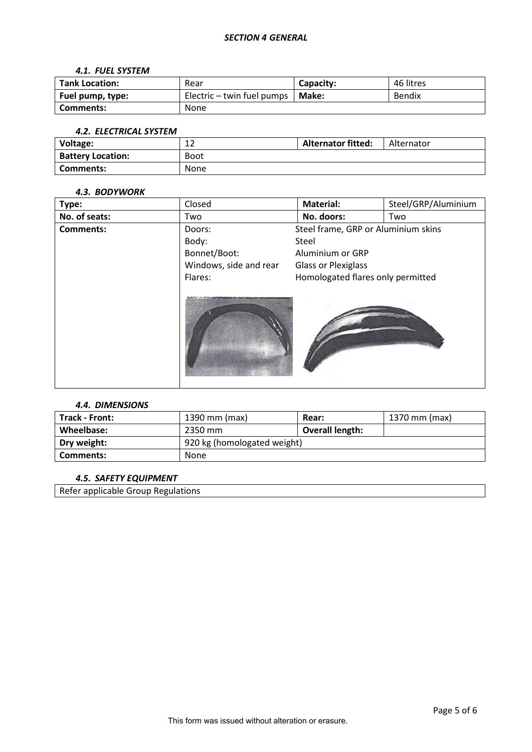#### *4.1. FUEL SYSTEM*

| <b>Tank Location:</b> | Rear                       | Capacity: | 46 litres |
|-----------------------|----------------------------|-----------|-----------|
| Fuel pump, type:      | Electric – twin fuel pumps | Make:     | Bendix    |
| Comments:             | None                       |           |           |

#### *4.2. ELECTRICAL SYSTEM*

| Voltage:                 | $\sim$<br>∸∸ | <b>Alternator fitted:</b> | Alternator |
|--------------------------|--------------|---------------------------|------------|
| <b>Battery Location:</b> | Boot         |                           |            |
| Comments:                | <b>None</b>  |                           |            |

### *4.3. BODYWORK*

| Type:            | Closed                 | <b>Material:</b>                    | Steel/GRP/Aluminium |
|------------------|------------------------|-------------------------------------|---------------------|
| No. of seats:    | Two                    | No. doors:                          | Two                 |
| <b>Comments:</b> | Doors:                 | Steel frame, GRP or Aluminium skins |                     |
|                  | Body:                  | Steel                               |                     |
|                  | Bonnet/Boot:           | Aluminium or GRP                    |                     |
|                  | Windows, side and rear | <b>Glass or Plexiglass</b>          |                     |
|                  | Flares:                | Homologated flares only permitted   |                     |
|                  |                        |                                     |                     |

## *4.4. DIMENSIONS*

| Track - Front: | 1390 mm (max)               | Rear:           | 1370 mm (max) |
|----------------|-----------------------------|-----------------|---------------|
| Wheelbase:     | 2350 mm                     | Overall length: |               |
| Dry weight:    | 920 kg (homologated weight) |                 |               |
| Comments:      | None                        |                 |               |

## *4.5. SAFETY EQUIPMENT*

Refer applicable Group Regulations